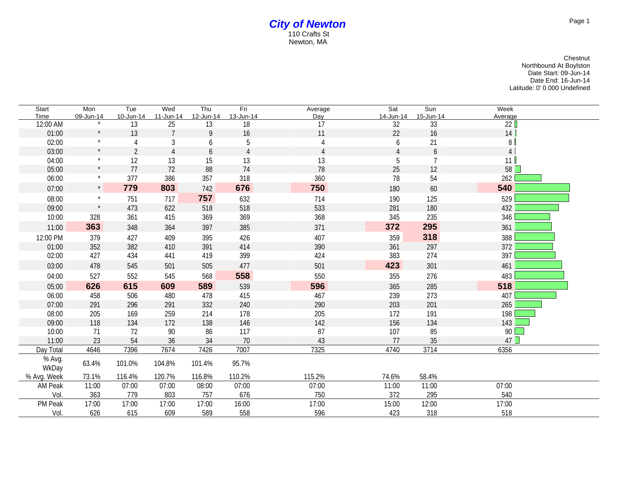## *City of Newton* 110 Crafts St Newton, MA

Chestnut Northbound At Boylston Date Start: 09-Jun-14 Date End: 16-Jun-14 Latitude: 0' 0.000 Undefined

| Start           | Mon       | Tue            | Wed            | Thu       | Fri            | Average        | Sat            | Sun            | Week           |
|-----------------|-----------|----------------|----------------|-----------|----------------|----------------|----------------|----------------|----------------|
| Time            | 09-Jun-14 | 10-Jun-14      | 11-Jun-14      | 12-Jun-14 | 13-Jun-14      | Day            | 14-Jun-14      | 15-Jun-14      | Average        |
| 12:00 AM        |           | 13             | 25             | 13        | 18             | 17             | 32             | 33             | 22             |
| 01:00           | $\star$   | 13             | $\overline{7}$ | 9         | 16             | 11             | 22             | 16             | 14             |
| 02:00           | $\star$   | 4              | $\sqrt{3}$     | 6         | 5              |                | 6              | 21             | 8 <sup>1</sup> |
| 03:00           | $\star$   | $\overline{2}$ | $\overline{4}$ | 6         | $\overline{4}$ | $\overline{4}$ | $\overline{4}$ | 6              | $\overline{4}$ |
| 04:00           |           | 12             | 13             | 15        | 13             | 13             | 5              | $\overline{7}$ | 11             |
| 05:00           |           | 77             | 72             | 88        | 74             | 78             | 25             | 12             | 58             |
| 06:00           |           | 377            | 386            | 357       | 318            | 360            | 78             | 54             | 262            |
| 07:00           | $\star$   | 779            | 803            | 742       | 676            | 750            | 180            | 60             | 540            |
| 08:00           |           | 751            | 717            | 757       | 632            | 714            | 190            | 125            | 529            |
| 09:00           | $\star$   | 473            | 622            | 518       | 518            | 533            | 281            | 180            | 432            |
| 10:00           | 328       | 361            | 415            | 369       | 369            | 368            | 345            | 235            | 346            |
| 11:00           | 363       | 348            | 364            | 397       | 385            | 371            | 372            | 295            | 361            |
| 12:00 PM        | 379       | 427            | 409            | 395       | 426            | 407            | 359            | 318            | 388            |
| 01:00           | 352       | 382            | 410            | 391       | 414            | 390            | 361            | 297            | 372            |
| 02:00           | 427       | 434            | 441            | 419       | 399            | 424            | 383            | 274            | 397            |
| 03:00           | 478       | 545            | 501            | 505       | 477            | 501            | 423            | 301            | 461            |
| 04:00           | 527       | 552            | 545            | 568       | 558            | 550            | 355            | 276            | 483            |
| 05:00           | 626       | 615            | 609            | 589       | 539            | 596            | 365            | 285            | 518            |
| 06:00           | 458       | 506            | 480            | 478       | 415            | 467            | 239            | 273            | 407            |
| 07:00           | 291       | 296            | 291            | 332       | 240            | 290            | 203            | 201            | 265            |
| 08:00           | 205       | 169            | 259            | 214       | 178            | 205            | 172            | 191            | 198            |
| 09:00           | 118       | 134            | 172            | 138       | 146            | 142            | 156            | 134            | 143            |
| 10:00           | 71        | 72             | 90             | 86        | 117            | 87             | 107            | 85             | 90             |
| 11:00           | 23        | 54             | 36             | 34        | 70             | 43             | 77             | 35             | 47             |
| Day Total       | 4646      | 7396           | 7674           | 7426      | 7007           | 7325           | 4740           | 3714           | 6356           |
| % Avg.<br>WkDay | 63.4%     | 101.0%         | 104.8%         | 101.4%    | 95.7%          |                |                |                |                |
| % Avg. Week     | 73.1%     | 116.4%         | 120.7%         | 116.8%    | 110.2%         | 115.2%         | 74.6%          | 58.4%          |                |
| AM Peak         | 11:00     | 07:00          | 07:00          | 08:00     | 07:00          | 07:00          | 11:00          | 11:00          | 07:00          |
| Vol.            | 363       | 779            | 803            | 757       | 676            | 750            | 372            | 295            | 540            |
| PM Peak         | 17:00     | 17:00          | 17:00          | 17:00     | 16:00          | 17:00          | 15:00          | 12:00          | 17:00          |
| Vol.            | 626       | 615            | 609            | 589       | 558            | 596            | 423            | 318            | 518            |